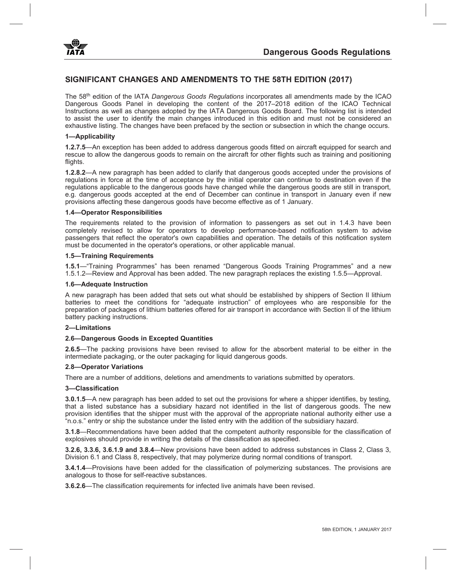

# **SIGNIFICANT CHANGES AND AMENDMENTS TO THE 58TH EDITION (2017)**

The 58th edition of the IATA *Dangerous Goods Regulations* incorporates all amendments made by the ICAO Dangerous Goods Panel in developing the content of the 2017–2018 edition of the ICAO Technical Instructions as well as changes adopted by the IATA Dangerous Goods Board. The following list is intended to assist the user to identify the main changes introduced in this edition and must not be considered an exhaustive listing. The changes have been prefaced by the section or subsection in which the change occurs.

### **1—Applicability**

**1.2.7.5**—An exception has been added to address dangerous goods fitted on aircraft equipped for search and rescue to allow the dangerous goods to remain on the aircraft for other flights such as training and positioning flights.

**1.2.8.2**—A new paragraph has been added to clarify that dangerous goods accepted under the provisions of regulations in force at the time of acceptance by the initial operator can continue to destination even if the regulations applicable to the dangerous goods have changed while the dangerous goods are still in transport, e.g. dangerous goods accepted at the end of December can continue in transport in January even if new provisions affecting these dangerous goods have become effective as of 1 January.

### **1.4—Operator Responsibilities**

The requirements related to the provision of information to passengers as set out in 1.4.3 have been completely revised to allow for operators to develop performance-based notification system to advise passengers that reflect the operator's own capabilities and operation. The details of this notification system must be documented in the operator's operations, or other applicable manual.

### **1.5—Training Requirements**

**1.5.1**—"Training Programmes" has been renamed "Dangerous Goods Training Programmes" and a new 1.5.1.2—Review and Approval has been added. The new paragraph replaces the existing 1.5.5—Approval.

#### **1.6—Adequate Instruction**

A new paragraph has been added that sets out what should be established by shippers of Section II lithium batteries to meet the conditions for "adequate instruction" of employees who are responsible for the preparation of packages of lithium batteries offered for air transport in accordance with Section II of the lithium battery packing instructions.

#### **2—Limitations**

# **2.6—Dangerous Goods in Excepted Quantities**

**2.6.5**—The packing provisions have been revised to allow for the absorbent material to be either in the intermediate packaging, or the outer packaging for liquid dangerous goods.

# **2.8—Operator Variations**

There are a number of additions, deletions and amendments to variations submitted by operators.

#### **3—Classification**

**3.0.1.5**—A new paragraph has been added to set out the provisions for where a shipper identifies, by testing, that a listed substance has a subsidiary hazard not identified in the list of dangerous goods. The new provision identifies that the shipper must with the approval of the appropriate national authority either use a "n.o.s." entry or ship the substance under the listed entry with the addition of the subsidiary hazard.

**3.1.8**—Recommendations have been added that the competent authority responsible for the classification of explosives should provide in writing the details of the classification as specified.

**3.2.6, 3.3.6, 3.6.1.9 and 3.8.4**—New provisions have been added to address substances in Class 2, Class 3, Division 6.1 and Class 8, respectively, that may polymerize during normal conditions of transport.

**3.4.1.4**—Provisions have been added for the classification of polymerizing substances. The provisions are analogous to those for self-reactive substances.

**3.6.2.6**—The classification requirements for infected live animals have been revised.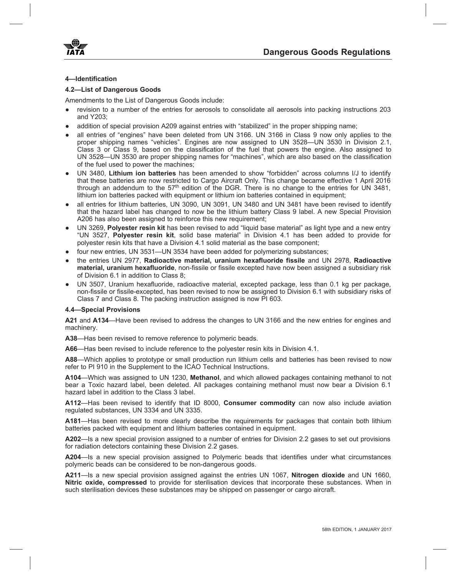



# **4—Identification**

# **4.2—List of Dangerous Goods**

Amendments to the List of Dangerous Goods include:

- revision to a number of the entries for aerosols to consolidate all aerosols into packing instructions 203 and Y203;
- addition of special provision A209 against entries with "stabilized" in the proper shipping name;
- all entries of "engines" have been deleted from UN 3166. UN 3166 in Class 9 now only applies to the proper shipping names "vehicles". Engines are now assigned to UN 3528—UN 3530 in Division 2.1, Class 3 or Class 9, based on the classification of the fuel that powers the engine. Also assigned to UN 3528—UN 3530 are proper shipping names for "machines", which are also based on the classification of the fuel used to power the machines;
- UN 3480, **Lithium ion batteries** has been amended to show "forbidden" across columns I/J to identify that these batteries are now restricted to Cargo Aircraft Only. This change became effective 1 April 2016 through an addendum to the  $57<sup>th</sup>$  edition of the DGR. There is no change to the entries for UN 3481, lithium ion batteries packed with equipment or lithium ion batteries contained in equipment;
- all entries for lithium batteries, UN 3090, UN 3091, UN 3480 and UN 3481 have been revised to identify that the hazard label has changed to now be the lithium battery Class 9 label. A new Special Provision A206 has also been assigned to reinforce this new requirement;
- UN 3269, **Polyester resin kit** has been revised to add "liquid base material" as light type and a new entry "UN 3527, **Polyester resin kit**, solid base material" in Division 4.1 has been added to provide for polyester resin kits that have a Division 4.1 solid material as the base component;
- four new entries, UN 3531—UN 3534 have been added for polymerizing substances;
- the entries UN 2977, **Radioactive material, uranium hexafluoride fissile** and UN 2978, **Radioactive material, uranium hexafluoride**, non-fissile or fissile excepted have now been assigned a subsidiary risk of Division 6.1 in addition to Class 8;
- UN 3507, Uranium hexafluoride, radioactive material, excepted package, less than 0.1 kg per package, non-fissile or fissile-excepted, has been revised to now be assigned to Division 6.1 with subsidiary risks of Class 7 and Class 8. The packing instruction assigned is now PI 603.

# **4.4—Special Provisions**

**A21** and **A134**—Have been revised to address the changes to UN 3166 and the new entries for engines and machinery.

**A38**—Has been revised to remove reference to polymeric beads.

**A66**—Has been revised to include reference to the polyester resin kits in Division 4.1.

**A88**—Which applies to prototype or small production run lithium cells and batteries has been revised to now refer to PI 910 in the Supplement to the ICAO Technical Instructions.

**A104**—Which was assigned to UN 1230, **Methanol**, and which allowed packages containing methanol to not bear a Toxic hazard label, been deleted. All packages containing methanol must now bear a Division 6.1 hazard label in addition to the Class 3 label.

**A112**—Has been revised to identify that ID 8000, **Consumer commodity** can now also include aviation regulated substances, UN 3334 and UN 3335.

**A181**—Has been revised to more clearly describe the requirements for packages that contain both lithium batteries packed with equipment and lithium batteries contained in equipment.

**A202**—Is a new special provision assigned to a number of entries for Division 2.2 gases to set out provisions for radiation detectors containing these Division 2.2 gases.

**A204**—Is a new special provision assigned to Polymeric beads that identifies under what circumstances polymeric beads can be considered to be non-dangerous goods.

**A211**—Is a new special provision assigned against the entries UN 1067, **Nitrogen dioxide** and UN 1660, **Nitric oxide, compressed** to provide for sterilisation devices that incorporate these substances. When in such sterilisation devices these substances may be shipped on passenger or cargo aircraft.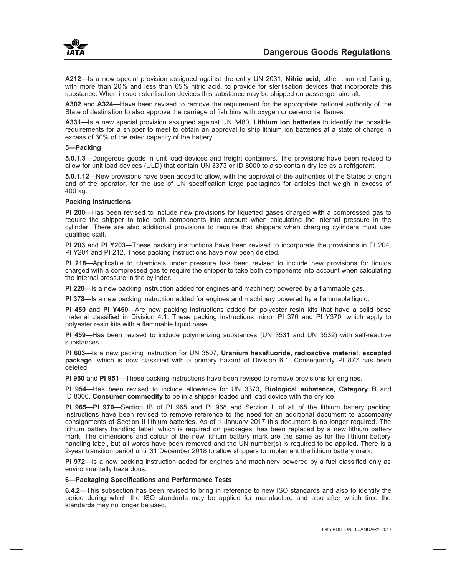

**A212**—Is a new special provision assigned against the entry UN 2031, **Nitric acid**, other than red fuming, with more than 20% and less than 65% nitric acid, to provide for sterilisation devices that incorporate this substance. When in such sterilisation devices this substance may be shipped on passenger aircraft.

**A302** and **A324**—Have been revised to remove the requirement for the appropriate national authority of the State of destination to also approve the carriage of fish bins with oxygen or ceremonial flames.

**A331**—Is a new special provision assigned against UN 3480, **Lithium ion batteries** to identify the possible requirements for a shipper to meet to obtain an approval to ship lithium ion batteries at a state of charge in excess of 30% of the rated capacity of the battery.

### **5—Packing**

**5.0.1.3**—Dangerous goods in unit load devices and freight containers. The provisions have been revised to allow for unit load devices (ULD) that contain UN 3373 or ID 8000 to also contain dry ice as a refrigerant.

**5.0.1.12**—New provisions have been added to allow, with the approval of the authorities of the States of origin and of the operator, for the use of UN specification large packagings for articles that weigh in excess of 400 kg.

### **Packing Instructions**

**PI 200**—Has been revised to include new provisions for liquefied gases charged with a compressed gas to require the shipper to take both components into account when calculating the internal pressure in the cylinder. There are also additional provisions to require that shippers when charging cylinders must use qualified staff.

**PI 203** and **PI Y203—**These packing instructions have been revised to incorporate the provisions in PI 204, PI Y204 and PI 212. These packing instructions have now been deleted.

**PI 218**—Applicable to chemicals under pressure has been revised to include new provisions for liquids charged with a compressed gas to require the shipper to take both components into account when calculating the internal pressure in the cylinder.

**PI 220**—Is a new packing instruction added for engines and machinery powered by a flammable gas.

**PI 378**—Is a new packing instruction added for engines and machinery powered by a flammable liquid.

**PI 450** and **PI Y450**—Are new packing instructions added for polyester resin kits that have a solid base material classified in Division 4.1. These packing instructions mirror PI 370 and PI Y370, which apply to polyester resin kits with a flammable liquid base.

**PI 459**—Has been revised to include polymerizing substances (UN 3531 and UN 3532) with self-reactive substances.

**PI 603**—Is a new packing instruction for UN 3507, **Uranium hexafluoride, radioactive material, excepted package**, which is now classified with a primary hazard of Division 6.1. Consequently PI 877 has been deleted.

**PI 950** and **PI 951**—These packing instructions have been revised to remove provisions for engines.

**PI 954**—Has been revised to include allowance for UN 3373, **Biological substance, Category B** and ID 8000, **Consumer commodity** to be in a shipper loaded unit load device with the dry ice.

**PI 965—PI 970**—Section IB of PI 965 and PI 968 and Section II of all of the lithium battery packing instructions have been revised to remove reference to the need for an additional document to accompany consignments of Section II lithium batteries. As of 1 January 2017 this document is no longer required. The lithium battery handling label, which is required on packages, has been replaced by a new lithium battery mark. The dimensions and colour of the new lithium battery mark are the same as for the lithium battery handling label, but all words have been removed and the UN number(s) is required to be applied. There is a 2-year transition period until 31 December 2018 to allow shippers to implement the lithium battery mark.

**PI 972**—Is a new packing instruction added for engines and machinery powered by a fuel classified only as environmentally hazardous.

# **6—Packaging Specifications and Performance Tests**

**6.4.2**—This subsection has been revised to bring in reference to new ISO standards and also to identify the period during which the ISO standards may be applied for manufacture and also after which time the standards may no longer be used.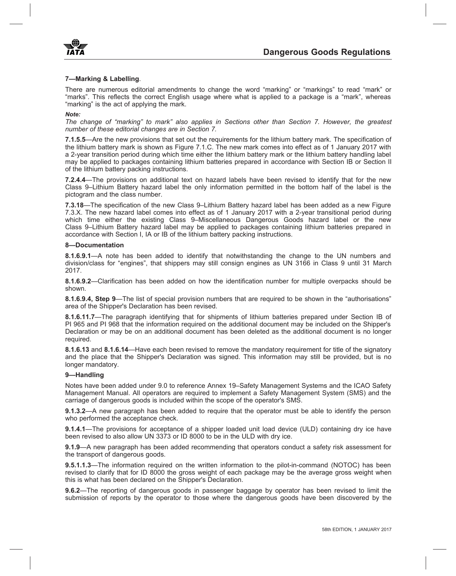

# **7—Marking & Labelling**.

There are numerous editorial amendments to change the word "marking" or "markings" to read "mark" or "marks". This reflects the correct English usage where what is applied to a package is a "mark", whereas "marking" is the act of applying the mark.

#### *Note:*

*The change of "marking" to mark" also applies in Sections other than Section 7. However, the greatest number of these editorial changes are in Section 7.*

**7.1.5.5**—Are the new provisions that set out the requirements for the lithium battery mark. The specification of the lithium battery mark is shown as Figure 7.1.C. The new mark comes into effect as of 1 January 2017 with a 2-year transition period during which time either the lithium battery mark or the lithium battery handling label may be applied to packages containing lithium batteries prepared in accordance with Section IB or Section II of the lithium battery packing instructions.

**7.2.4.4**—The provisions on additional text on hazard labels have been revised to identify that for the new Class 9–Lithium Battery hazard label the only information permitted in the bottom half of the label is the pictogram and the class number.

**7.3.18**—The specification of the new Class 9–Lithium Battery hazard label has been added as a new Figure 7.3.X. The new hazard label comes into effect as of 1 January 2017 with a 2-year transitional period during which time either the existing Class 9–Miscellaneous Dangerous Goods hazard label or the new Class 9–Lithium Battery hazard label may be applied to packages containing lithium batteries prepared in accordance with Section I, IA or IB of the lithium battery packing instructions.

#### **8—Documentation**

**8.1.6.9.1**—A note has been added to identify that notwithstanding the change to the UN numbers and division/class for "engines", that shippers may still consign engines as UN 3166 in Class 9 until 31 March 2017.

**8.1.6.9.2**—Clarification has been added on how the identification number for multiple overpacks should be shown.

**8.1.6.9.4, Step 9**—The list of special provision numbers that are required to be shown in the "authorisations" area of the Shipper's Declaration has been revised.

**8.1.6.11.7**—The paragraph identifying that for shipments of lithium batteries prepared under Section IB of PI 965 and PI 968 that the information required on the additional document may be included on the Shipper's Declaration or may be on an additional document has been deleted as the additional document is no longer required.

**8.1.6.13** and **8.1.6.14**—Have each been revised to remove the mandatory requirement for title of the signatory and the place that the Shipper's Declaration was signed. This information may still be provided, but is no longer mandatory.

### **9—Handling**

Notes have been added under 9.0 to reference Annex 19–Safety Management Systems and the ICAO Safety Management Manual. All operators are required to implement a Safety Management System (SMS) and the carriage of dangerous goods is included within the scope of the operator's SMS.

**9.1.3.2**—A new paragraph has been added to require that the operator must be able to identify the person who performed the acceptance check.

**9.1.4.1—The provisions for acceptance of a shipper loaded unit load device (ULD) containing dry ice have** been revised to also allow UN 3373 or ID 8000 to be in the ULD with dry ice.

**9.1.9**—A new paragraph has been added recommending that operators conduct a safety risk assessment for the transport of dangerous goods.

**9.5.1.1.3**—The information required on the written information to the pilot-in-command (NOTOC) has been revised to clarify that for ID 8000 the gross weight of each package may be the average gross weight when this is what has been declared on the Shipper's Declaration.

**9.6.2**—The reporting of dangerous goods in passenger baggage by operator has been revised to limit the submission of reports by the operator to those where the dangerous goods have been discovered by the